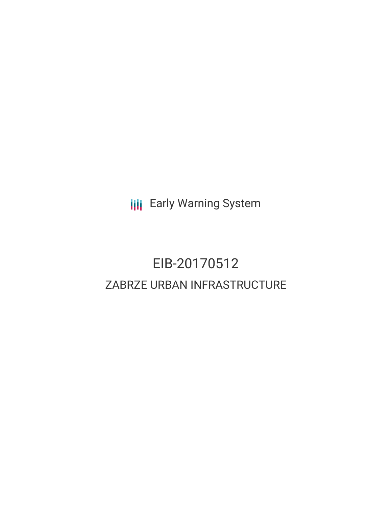**III** Early Warning System

# EIB-20170512 ZABRZE URBAN INFRASTRUCTURE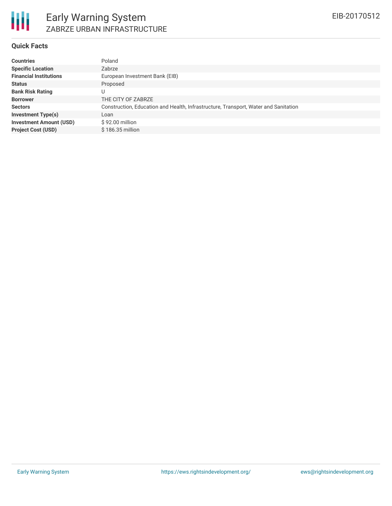

#### **Quick Facts**

| <b>Countries</b>               | Poland                                                                              |
|--------------------------------|-------------------------------------------------------------------------------------|
| <b>Specific Location</b>       | Zabrze                                                                              |
| <b>Financial Institutions</b>  | European Investment Bank (EIB)                                                      |
| <b>Status</b>                  | Proposed                                                                            |
| <b>Bank Risk Rating</b>        | U                                                                                   |
| <b>Borrower</b>                | THE CITY OF ZABRZE                                                                  |
| <b>Sectors</b>                 | Construction, Education and Health, Infrastructure, Transport, Water and Sanitation |
| <b>Investment Type(s)</b>      | Loan                                                                                |
| <b>Investment Amount (USD)</b> | $$92.00$ million                                                                    |
| <b>Project Cost (USD)</b>      | \$186.35 million                                                                    |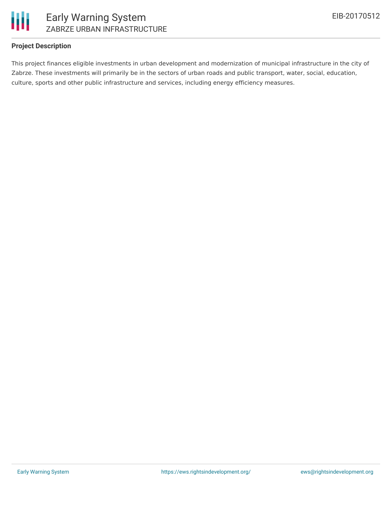

#### **Project Description**

This project finances eligible investments in urban development and modernization of municipal infrastructure in the city of Zabrze. These investments will primarily be in the sectors of urban roads and public transport, water, social, education, culture, sports and other public infrastructure and services, including energy efficiency measures.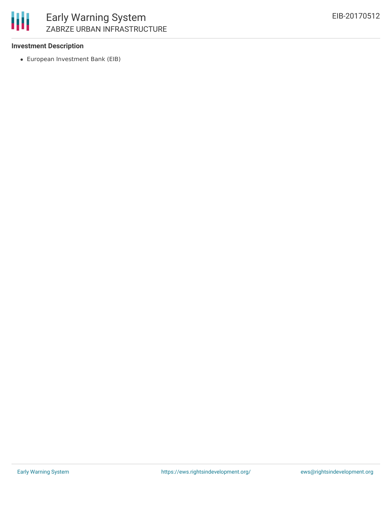#### **Investment Description**

European Investment Bank (EIB)